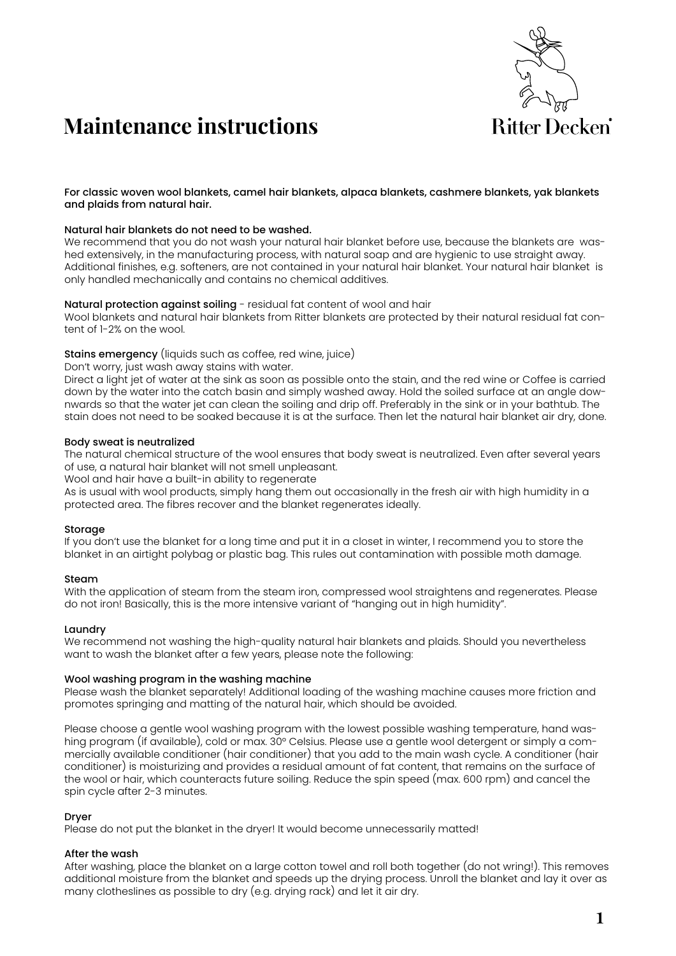

# **Maintenance instructions**

For classic woven wool blankets, camel hair blankets, alpaca blankets, cashmere blankets, yak blankets and plaids from natural hair.

# Natural hair blankets do not need to be washed.

We recommend that you do not wash your natural hair blanket before use, because the blankets are washed extensively, in the manufacturing process, with natural soap and are hygienic to use straight away. Additional finishes, e.g. softeners, are not contained in your natural hair blanket. Your natural hair blanket is only handled mechanically and contains no chemical additives.

# Natural protection against soiling - residual fat content of wool and hair

Wool blankets and natural hair blankets from Ritter blankets are protected by their natural residual fat content of 1-2% on the wool.

# Stains emergency (liquids such as coffee, red wine, juice)

Don't worry, just wash away stains with water.

Direct a light jet of water at the sink as soon as possible onto the stain, and the red wine or Coffee is carried down by the water into the catch basin and simply washed away. Hold the soiled surface at an angle downwards so that the water jet can clean the soiling and drip off. Preferably in the sink or in your bathtub. The stain does not need to be soaked because it is at the surface. Then let the natural hair blanket air dry, done.

#### Body sweat is neutralized

The natural chemical structure of the wool ensures that body sweat is neutralized. Even after several years of use, a natural hair blanket will not smell unpleasant.

Wool and hair have a built-in ability to regenerate

As is usual with wool products, simply hang them out occasionally in the fresh air with high humidity in a protected area. The fibres recover and the blanket regenerates ideally.

# Storage

If you don't use the blanket for a long time and put it in a closet in winter, I recommend you to store the blanket in an airtight polybag or plastic bag. This rules out contamination with possible moth damage.

# Steam

With the application of steam from the steam iron, compressed wool straightens and regenerates. Please do not iron! Basically, this is the more intensive variant of "hanging out in high humidity".

# Laundry

We recommend not washing the high-quality natural hair blankets and plaids. Should you nevertheless want to wash the blanket after a few years, please note the following:

# Wool washing program in the washing machine

Please wash the blanket separately! Additional loading of the washing machine causes more friction and promotes springing and matting of the natural hair, which should be avoided.

Please choose a gentle wool washing program with the lowest possible washing temperature, hand washing program (if available), cold or max. 30° Celsius. Please use a gentle wool detergent or simply a commercially available conditioner (hair conditioner) that you add to the main wash cycle. A conditioner (hair conditioner) is moisturizing and provides a residual amount of fat content, that remains on the surface of the wool or hair, which counteracts future soiling. Reduce the spin speed (max. 600 rpm) and cancel the spin cycle after 2-3 minutes.

# Dryer

Please do not put the blanket in the dryer! It would become unnecessarily matted!

# After the wash

After washing, place the blanket on a large cotton towel and roll both together (do not wring!). This removes additional moisture from the blanket and speeds up the drying process. Unroll the blanket and lay it over as many clotheslines as possible to dry (e.g. drying rack) and let it air dry.